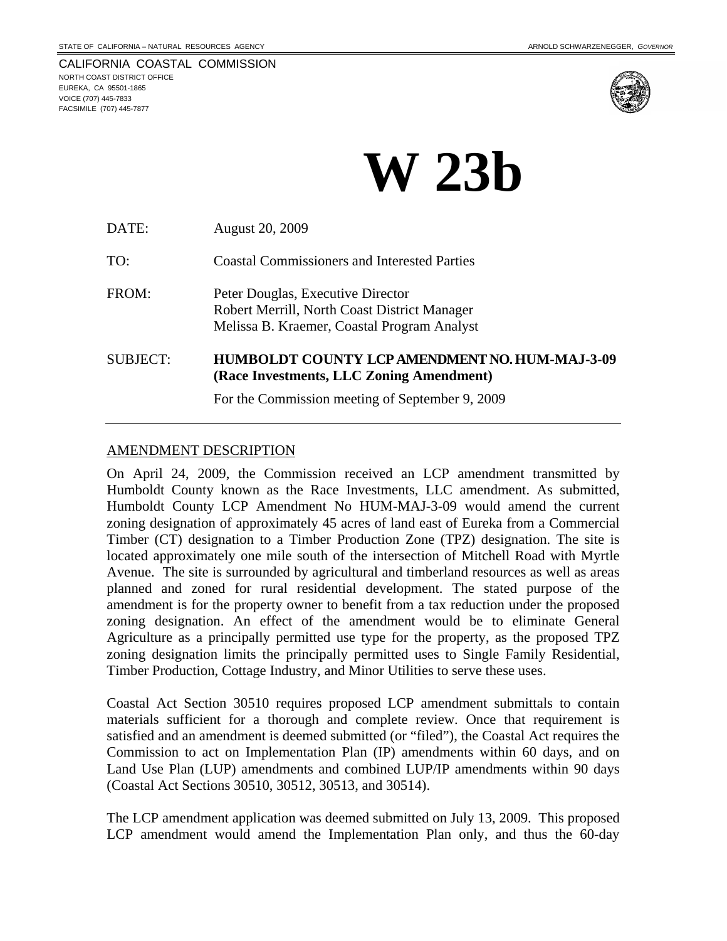

# **W 23b**

| DATE:           | <b>August 20, 2009</b>                                                                                                           |
|-----------------|----------------------------------------------------------------------------------------------------------------------------------|
| TO:             | <b>Coastal Commissioners and Interested Parties</b>                                                                              |
| FROM:           | Peter Douglas, Executive Director<br>Robert Merrill, North Coast District Manager<br>Melissa B. Kraemer, Coastal Program Analyst |
| <b>SUBJECT:</b> | <b>HUMBOLDT COUNTY LCP AMENDMENT NO. HUM-MAJ-3-09</b><br>(Race Investments, LLC Zoning Amendment)                                |
|                 | For the Commission meeting of September 9, 2009                                                                                  |

## AMENDMENT DESCRIPTION

On April 24, 2009, the Commission received an LCP amendment transmitted by Humboldt County known as the Race Investments, LLC amendment. As submitted, Humboldt County LCP Amendment No HUM-MAJ-3-09 would amend the current zoning designation of approximately 45 acres of land east of Eureka from a Commercial Timber (CT) designation to a Timber Production Zone (TPZ) designation. The site is located approximately one mile south of the intersection of Mitchell Road with Myrtle Avenue. The site is surrounded by agricultural and timberland resources as well as areas planned and zoned for rural residential development. The stated purpose of the amendment is for the property owner to benefit from a tax reduction under the proposed zoning designation. An effect of the amendment would be to eliminate General Agriculture as a principally permitted use type for the property, as the proposed TPZ zoning designation limits the principally permitted uses to Single Family Residential, Timber Production, Cottage Industry, and Minor Utilities to serve these uses.

Coastal Act Section 30510 requires proposed LCP amendment submittals to contain materials sufficient for a thorough and complete review. Once that requirement is satisfied and an amendment is deemed submitted (or "filed"), the Coastal Act requires the Commission to act on Implementation Plan (IP) amendments within 60 days, and on Land Use Plan (LUP) amendments and combined LUP/IP amendments within 90 days (Coastal Act Sections 30510, 30512, 30513, and 30514).

The LCP amendment application was deemed submitted on July 13, 2009. This proposed LCP amendment would amend the Implementation Plan only, and thus the 60-day